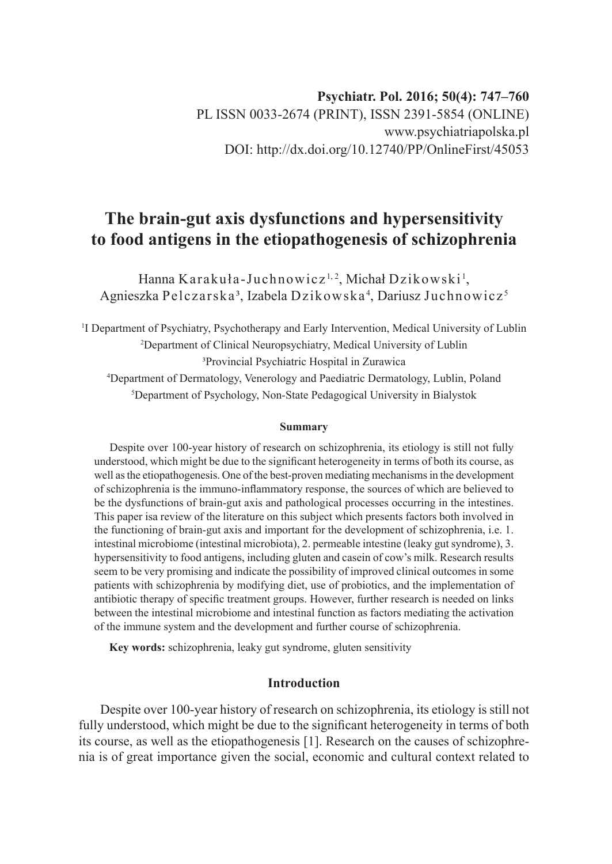# **The brain-gut axis dysfunctions and hypersensitivity to food antigens in the etiopathogenesis of schizophrenia**

Hanna Karakuła-Juchnowicz<sup>1, 2</sup>, Michał Dzikowski<sup>1</sup>, Agnieszka Pelczarska<sup>3</sup>, Izabela Dzikowska<sup>4</sup>, Dariusz Juchnowicz<sup>5</sup>

<sup>1</sup>I Department of Psychiatry, Psychotherapy and Early Intervention, Medical University of Lublin 2 Department of Clinical Neuropsychiatry, Medical University of Lublin ³Provincial Psychiatric Hospital in Zurawica 4 Department of Dermatology, Venerology and Paediatric Dermatology, Lublin, Poland 5 Department of Psychology, Non-State Pedagogical University in Bialystok

#### **Summary**

Despite over 100-year history of research on schizophrenia, its etiology is still not fully understood, which might be due to the significant heterogeneity in terms of both its course, as well as the etiopathogenesis. One of the best-proven mediating mechanisms in the development of schizophrenia is the immuno-inflammatory response, the sources of which are believed to be the dysfunctions of brain-gut axis and pathological processes occurring in the intestines. This paper isa review of the literature on this subject which presents factors both involved in the functioning of brain-gut axis and important for the development of schizophrenia, i.e. 1. intestinal microbiome (intestinal microbiota), 2. permeable intestine (leaky gut syndrome), 3. hypersensitivity to food antigens, including gluten and casein of cow's milk. Research results seem to be very promising and indicate the possibility of improved clinical outcomes in some patients with schizophrenia by modifying diet, use of probiotics, and the implementation of antibiotic therapy of specific treatment groups. However, further research is needed on links between the intestinal microbiome and intestinal function as factors mediating the activation of the immune system and the development and further course of schizophrenia.

**Key words:** schizophrenia, leaky gut syndrome, gluten sensitivity

## **Introduction**

Despite over 100-year history of research on schizophrenia, its etiology is still not fully understood, which might be due to the significant heterogeneity in terms of both its course, as well as the etiopathogenesis [1]. Research on the causes of schizophrenia is of great importance given the social, economic and cultural context related to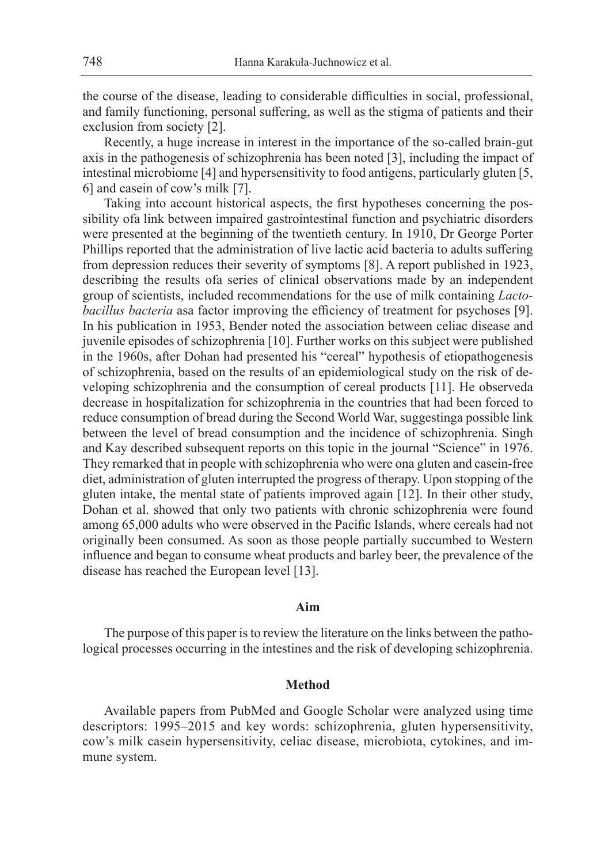the course of the disease, leading to considerable difficulties in social, professional, and family functioning, personal suffering, as well as the stigma of patients and their exclusion from society [2].

Recently, a huge increase in interest in the importance of the so-called brain-gut axis in the pathogenesis of schizophrenia has been noted [3], including the impact of intestinal microbiome [4] and hypersensitivity to food antigens, particularly gluten [5, 6] and casein of cow's milk [7].

Taking into account historical aspects, the first hypotheses concerning the possibility ofa link between impaired gastrointestinal function and psychiatric disorders were presented at the beginning of the twentieth century. In 1910, Dr George Porter Phillips reported that the administration of live lactic acid bacteria to adults suffering from depression reduces their severity of symptoms [8]. A report published in 1923, describing the results ofa series of clinical observations made by an independent group of scientists, included recommendations for the use of milk containing *Lactobacillus bacteria* asa factor improving the efficiency of treatment for psychoses [9]. In his publication in 1953, Bender noted the association between celiac disease and juvenile episodes of schizophrenia [10]. Further works on this subject were published in the 1960s, after Dohan had presented his "cereal" hypothesis of etiopathogenesis of schizophrenia, based on the results of an epidemiological study on the risk of developing schizophrenia and the consumption of cereal products [11]. He observeda decrease in hospitalization for schizophrenia in the countries that had been forced to reduce consumption of bread during the Second World War, suggestinga possible link between the level of bread consumption and the incidence of schizophrenia. Singh and Kay described subsequent reports on this topic in the journal "Science" in 1976. They remarked that in people with schizophrenia who were ona gluten and casein-free diet, administration of gluten interrupted the progress of therapy. Upon stopping of the gluten intake, the mental state of patients improved again [12]. In their other study, Dohan et al. showed that only two patients with chronic schizophrenia were found among 65,000 adults who were observed in the Pacific Islands, where cereals had not originally been consumed. As soon as those people partially succumbed to Western influence and began to consume wheat products and barley beer, the prevalence of the disease has reached the European level [13].

# **Aim**

The purpose of this paper is to review the literature on the links between the pathological processes occurring in the intestines and the risk of developing schizophrenia.

## **Method**

Available papers from PubMed and Google Scholar were analyzed using time descriptors: 1995–2015 and key words: schizophrenia, gluten hypersensitivity, cow's milk casein hypersensitivity, celiac disease, microbiota, cytokines, and immune system.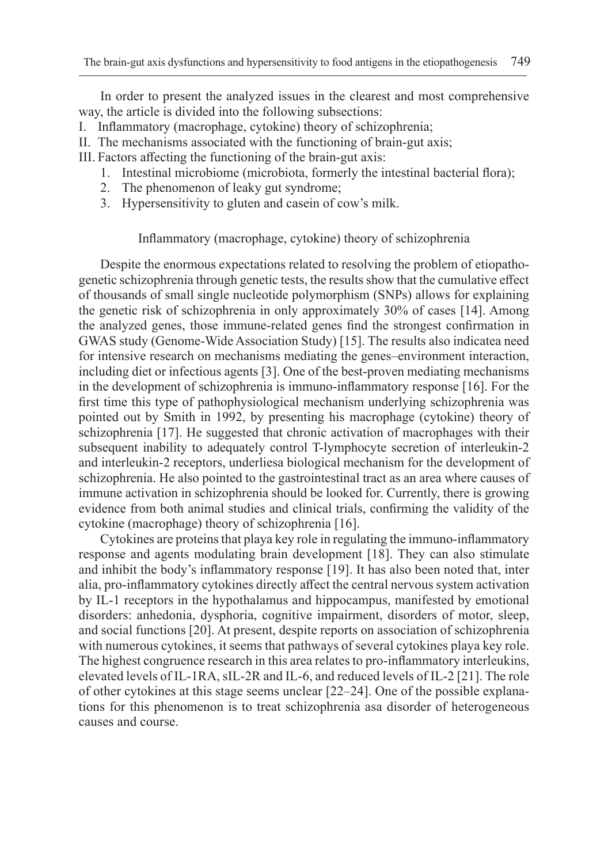In order to present the analyzed issues in the clearest and most comprehensive way, the article is divided into the following subsections:

- I. Inflammatory (macrophage, cytokine) theory of schizophrenia;
- II. The mechanisms associated with the functioning of brain-gut axis;
- III. Factors affecting the functioning of the brain-gut axis:
	- 1. Intestinal microbiome (microbiota, formerly the intestinal bacterial flora);
	- 2. The phenomenon of leaky gut syndrome;
	- 3. Hypersensitivity to gluten and casein of cow's milk.

## Inflammatory (macrophage, cytokine) theory of schizophrenia

Despite the enormous expectations related to resolving the problem of etiopathogenetic schizophrenia through genetic tests, the results show that the cumulative effect of thousands of small single nucleotide polymorphism (SNPs) allows for explaining the genetic risk of schizophrenia in only approximately 30% of cases [14]. Among the analyzed genes, those immune-related genes find the strongest confirmation in GWAS study (Genome-Wide Association Study) [15]. The results also indicatea need for intensive research on mechanisms mediating the genes–environment interaction, including diet or infectious agents [3]. One of the best-proven mediating mechanisms in the development of schizophrenia is immuno-inflammatory response [16]. For the first time this type of pathophysiological mechanism underlying schizophrenia was pointed out by Smith in 1992, by presenting his macrophage (cytokine) theory of schizophrenia [17]. He suggested that chronic activation of macrophages with their subsequent inability to adequately control T-lymphocyte secretion of interleukin-2 and interleukin-2 receptors, underliesa biological mechanism for the development of schizophrenia. He also pointed to the gastrointestinal tract as an area where causes of immune activation in schizophrenia should be looked for. Currently, there is growing evidence from both animal studies and clinical trials, confirming the validity of the cytokine (macrophage) theory of schizophrenia [16].

Cytokines are proteins that playa key role in regulating the immuno-inflammatory response and agents modulating brain development [18]. They can also stimulate and inhibit the body's inflammatory response [19]. It has also been noted that, inter alia, pro-inflammatory cytokines directly affect the central nervous system activation by IL-1 receptors in the hypothalamus and hippocampus, manifested by emotional disorders: anhedonia, dysphoria, cognitive impairment, disorders of motor, sleep, and social functions [20]. At present, despite reports on association of schizophrenia with numerous cytokines, it seems that pathways of several cytokines playa key role. The highest congruence research in this area relates to pro-inflammatory interleukins, elevated levels of IL-1RA, sIL-2R and IL-6, and reduced levels of IL-2 [21]. The role of other cytokines at this stage seems unclear [22–24]. One of the possible explanations for this phenomenon is to treat schizophrenia asa disorder of heterogeneous causes and course.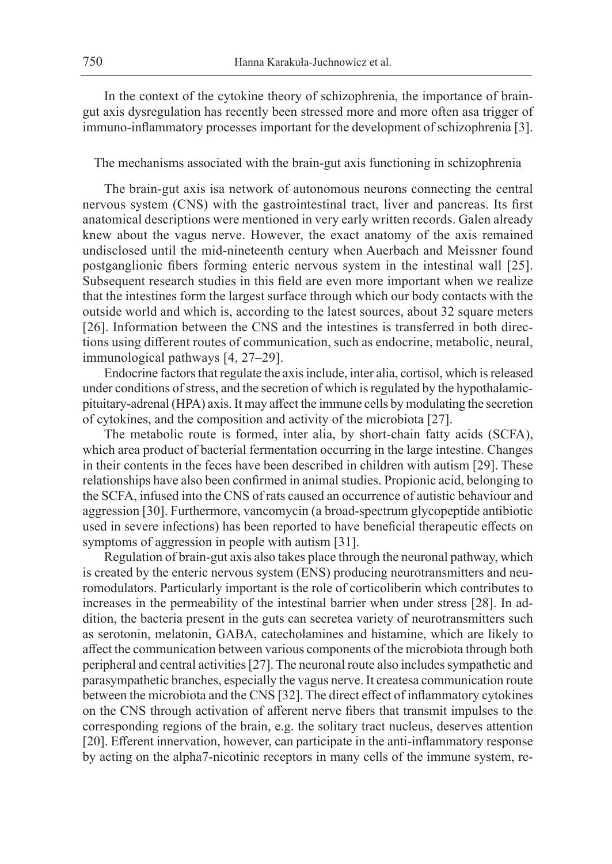In the context of the cytokine theory of schizophrenia, the importance of braingut axis dysregulation has recently been stressed more and more often asa trigger of immuno-inflammatory processes important for the development of schizophrenia [3].

## The mechanisms associated with the brain-gut axis functioning in schizophrenia

The brain-gut axis isa network of autonomous neurons connecting the central nervous system (CNS) with the gastrointestinal tract, liver and pancreas. Its first anatomical descriptions were mentioned in very early written records. Galen already knew about the vagus nerve. However, the exact anatomy of the axis remained undisclosed until the mid-nineteenth century when Auerbach and Meissner found postganglionic fibers forming enteric nervous system in the intestinal wall [25]. Subsequent research studies in this field are even more important when we realize that the intestines form the largest surface through which our body contacts with the outside world and which is, according to the latest sources, about 32 square meters [26]. Information between the CNS and the intestines is transferred in both directions using different routes of communication, such as endocrine, metabolic, neural, immunological pathways [4, 27–29].

Endocrine factors that regulate the axis include, inter alia, cortisol, which is released under conditions of stress, and the secretion of which is regulated by the hypothalamicpituitary-adrenal (HPA) axis. It may affect the immune cells by modulating the secretion of cytokines, and the composition and activity of the microbiota [27].

The metabolic route is formed, inter alia, by short-chain fatty acids (SCFA), which area product of bacterial fermentation occurring in the large intestine. Changes in their contents in the feces have been described in children with autism [29]. These relationships have also been confirmed in animal studies. Propionic acid, belonging to the SCFA, infused into the CNS of rats caused an occurrence of autistic behaviour and aggression [30]. Furthermore, vancomycin (a broad-spectrum glycopeptide antibiotic used in severe infections) has been reported to have beneficial therapeutic effects on symptoms of aggression in people with autism [31].

Regulation of brain-gut axis also takes place through the neuronal pathway, which is created by the enteric nervous system (ENS) producing neurotransmitters and neuromodulators. Particularly important is the role of corticoliberin which contributes to increases in the permeability of the intestinal barrier when under stress [28]. In addition, the bacteria present in the guts can secretea variety of neurotransmitters such as serotonin, melatonin, GABA, catecholamines and histamine, which are likely to affect the communication between various components of the microbiota through both peripheral and central activities [27]. The neuronal route also includes sympathetic and parasympathetic branches, especially the vagus nerve. It createsa communication route between the microbiota and the CNS [32]. The direct effect of inflammatory cytokines on the CNS through activation of afferent nerve fibers that transmit impulses to the corresponding regions of the brain, e.g. the solitary tract nucleus, deserves attention [20]. Efferent innervation, however, can participate in the anti-inflammatory response by acting on the alpha7-nicotinic receptors in many cells of the immune system, re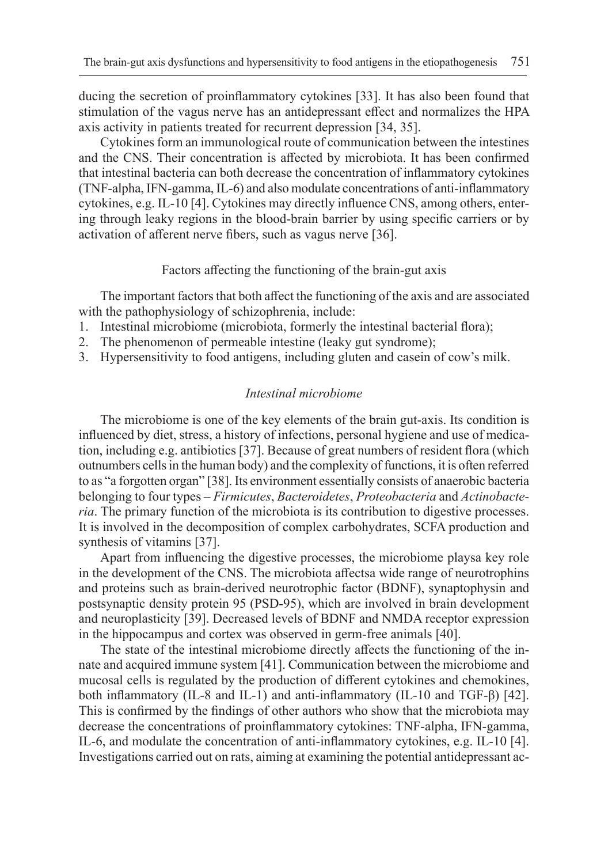ducing the secretion of proinflammatory cytokines [33]. It has also been found that stimulation of the vagus nerve has an antidepressant effect and normalizes the HPA axis activity in patients treated for recurrent depression [34, 35].

Cytokines form an immunological route of communication between the intestines and the CNS. Their concentration is affected by microbiota. It has been confirmed that intestinal bacteria can both decrease the concentration of inflammatory cytokines (TNF-alpha, IFN-gamma, IL-6) and also modulate concentrations of anti-inflammatory cytokines, e.g. IL-10 [4]. Cytokines may directly influence CNS, among others, entering through leaky regions in the blood-brain barrier by using specific carriers or by activation of afferent nerve fibers, such as vagus nerve [36].

## Factors affecting the functioning of the brain-gut axis

The important factors that both affect the functioning of the axis and are associated with the pathophysiology of schizophrenia, include:

- 1. Intestinal microbiome (microbiota, formerly the intestinal bacterial flora);
- 2. The phenomenon of permeable intestine (leaky gut syndrome);
- 3. Hypersensitivity to food antigens, including gluten and casein of cow's milk.

## *Intestinal microbiome*

The microbiome is one of the key elements of the brain gut-axis. Its condition is influenced by diet, stress, a history of infections, personal hygiene and use of medication, including e.g. antibiotics [37]. Because of great numbers of resident flora (which outnumbers cells in the human body) and the complexity of functions, it is often referred to as "a forgotten organ" [38]. Its environment essentially consists of anaerobic bacteria belonging to four types – *Firmicutes*, *Bacteroidetes*, *Proteobacteria* and *Actinobacteria*. The primary function of the microbiota is its contribution to digestive processes. It is involved in the decomposition of complex carbohydrates, SCFA production and synthesis of vitamins [37].

Apart from influencing the digestive processes, the microbiome playsa key role in the development of the CNS. The microbiota affectsa wide range of neurotrophins and proteins such as brain-derived neurotrophic factor (BDNF), synaptophysin and postsynaptic density protein 95 (PSD-95), which are involved in brain development and neuroplasticity [39]. Decreased levels of BDNF and NMDA receptor expression in the hippocampus and cortex was observed in germ-free animals [40].

The state of the intestinal microbiome directly affects the functioning of the innate and acquired immune system [41]. Communication between the microbiome and mucosal cells is regulated by the production of different cytokines and chemokines, both inflammatory (IL-8 and IL-1) and anti-inflammatory (IL-10 and TGF-β) [42]. This is confirmed by the findings of other authors who show that the microbiota may decrease the concentrations of proinflammatory cytokines: TNF-alpha, IFN-gamma, IL-6, and modulate the concentration of anti-inflammatory cytokines, e.g. IL-10 [4]. Investigations carried out on rats, aiming at examining the potential antidepressant ac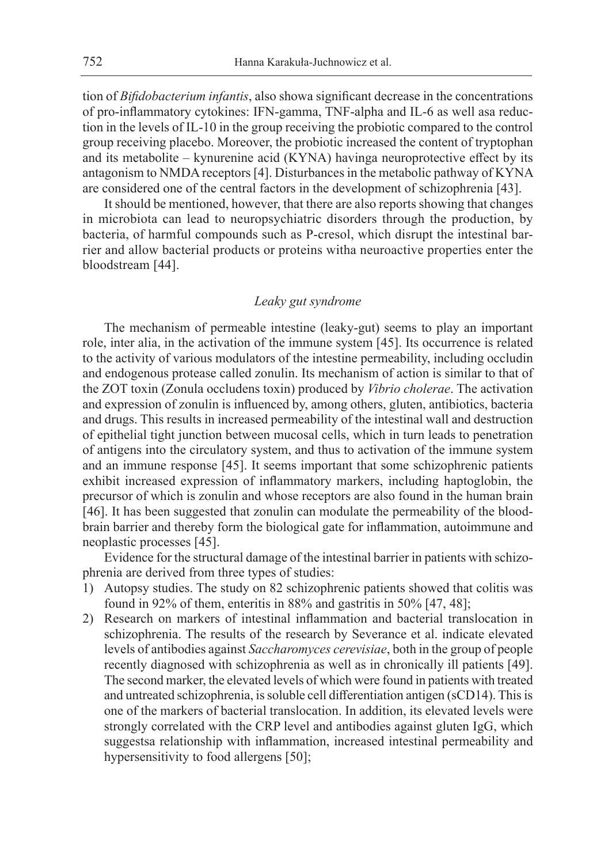tion of *Bifidobacterium infantis*, also showa significant decrease in the concentrations of pro-inflammatory cytokines: IFN-gamma, TNF-alpha and IL-6 as well asa reduction in the levels of IL-10 in the group receiving the probiotic compared to the control group receiving placebo. Moreover, the probiotic increased the content of tryptophan and its metabolite – kynurenine acid (KYNA) havinga neuroprotective effect by its antagonism to NMDA receptors [4]. Disturbances in the metabolic pathway of KYNA are considered one of the central factors in the development of schizophrenia [43].

It should be mentioned, however, that there are also reports showing that changes in microbiota can lead to neuropsychiatric disorders through the production, by bacteria, of harmful compounds such as P-cresol, which disrupt the intestinal barrier and allow bacterial products or proteins witha neuroactive properties enter the bloodstream [44].

# *Leaky gut syndrome*

The mechanism of permeable intestine (leaky-gut) seems to play an important role, inter alia, in the activation of the immune system [45]. Its occurrence is related to the activity of various modulators of the intestine permeability, including occludin and endogenous protease called zonulin. Its mechanism of action is similar to that of the ZOT toxin (Zonula occludens toxin) produced by *Vibrio cholerae*. The activation and expression of zonulin is influenced by, among others, gluten, antibiotics, bacteria and drugs. This results in increased permeability of the intestinal wall and destruction of epithelial tight junction between mucosal cells, which in turn leads to penetration of antigens into the circulatory system, and thus to activation of the immune system and an immune response [45]. It seems important that some schizophrenic patients exhibit increased expression of inflammatory markers, including haptoglobin, the precursor of which is zonulin and whose receptors are also found in the human brain [46]. It has been suggested that zonulin can modulate the permeability of the bloodbrain barrier and thereby form the biological gate for inflammation, autoimmune and neoplastic processes [45].

Evidence for the structural damage of the intestinal barrier in patients with schizophrenia are derived from three types of studies:

- 1) Autopsy studies. The study on 82 schizophrenic patients showed that colitis was found in 92% of them, enteritis in 88% and gastritis in 50% [47, 48];
- 2) Research on markers of intestinal inflammation and bacterial translocation in schizophrenia. The results of the research by Severance et al. indicate elevated levels of antibodies against *Saccharomyces cerevisiae*, both in the group of people recently diagnosed with schizophrenia as well as in chronically ill patients [49]. The second marker, the elevated levels of which were found in patients with treated and untreated schizophrenia, is soluble cell differentiation antigen (sCD14). This is one of the markers of bacterial translocation. In addition, its elevated levels were strongly correlated with the CRP level and antibodies against gluten IgG, which suggestsa relationship with inflammation, increased intestinal permeability and hypersensitivity to food allergens [50];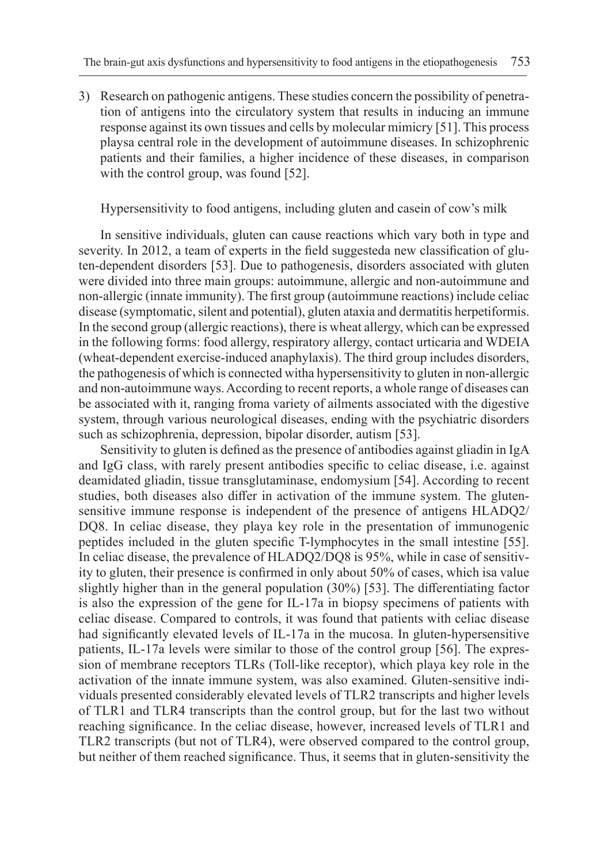3) Research on pathogenic antigens. These studies concern the possibility of penetration of antigens into the circulatory system that results in inducing an immune response against its own tissues and cells by molecular mimicry [51]. This process playsa central role in the development of autoimmune diseases. In schizophrenic patients and their families, a higher incidence of these diseases, in comparison with the control group, was found [52].

Hypersensitivity to food antigens, including gluten and casein of cow's milk

In sensitive individuals, gluten can cause reactions which vary both in type and severity. In 2012, a team of experts in the field suggesteda new classification of gluten-dependent disorders [53]. Due to pathogenesis, disorders associated with gluten were divided into three main groups: autoimmune, allergic and non-autoimmune and non-allergic (innate immunity). The first group (autoimmune reactions) include celiac disease (symptomatic, silent and potential), gluten ataxia and dermatitis herpetiformis. In the second group (allergic reactions), there is wheat allergy, which can be expressed in the following forms: food allergy, respiratory allergy, contact urticaria and WDEIA (wheat-dependent exercise-induced anaphylaxis). The third group includes disorders, the pathogenesis of which is connected witha hypersensitivity to gluten in non-allergic and non-autoimmune ways. According to recent reports, a whole range of diseases can be associated with it, ranging froma variety of ailments associated with the digestive system, through various neurological diseases, ending with the psychiatric disorders such as schizophrenia, depression, bipolar disorder, autism [53].

Sensitivity to gluten is defined as the presence of antibodies against gliadin in IgA and IgG class, with rarely present antibodies specific to celiac disease, i.e. against deamidated gliadin, tissue transglutaminase, endomysium [54]. According to recent studies, both diseases also differ in activation of the immune system. The glutensensitive immune response is independent of the presence of antigens HLADQ2/ DQ8. In celiac disease, they playa key role in the presentation of immunogenic peptides included in the gluten specific T-lymphocytes in the small intestine [55]. In celiac disease, the prevalence of HLADQ2/DQ8 is 95%, while in case of sensitivity to gluten, their presence is confirmed in only about 50% of cases, which isa value slightly higher than in the general population (30%) [53]. The differentiating factor is also the expression of the gene for IL-17a in biopsy specimens of patients with celiac disease. Compared to controls, it was found that patients with celiac disease had significantly elevated levels of IL-17a in the mucosa. In gluten-hypersensitive patients, IL-17a levels were similar to those of the control group [56]. The expression of membrane receptors TLRs (Toll-like receptor), which playa key role in the activation of the innate immune system, was also examined. Gluten-sensitive individuals presented considerably elevated levels of TLR2 transcripts and higher levels of TLR1 and TLR4 transcripts than the control group, but for the last two without reaching significance. In the celiac disease, however, increased levels of TLR1 and TLR2 transcripts (but not of TLR4), were observed compared to the control group, but neither of them reached significance. Thus, it seems that in gluten-sensitivity the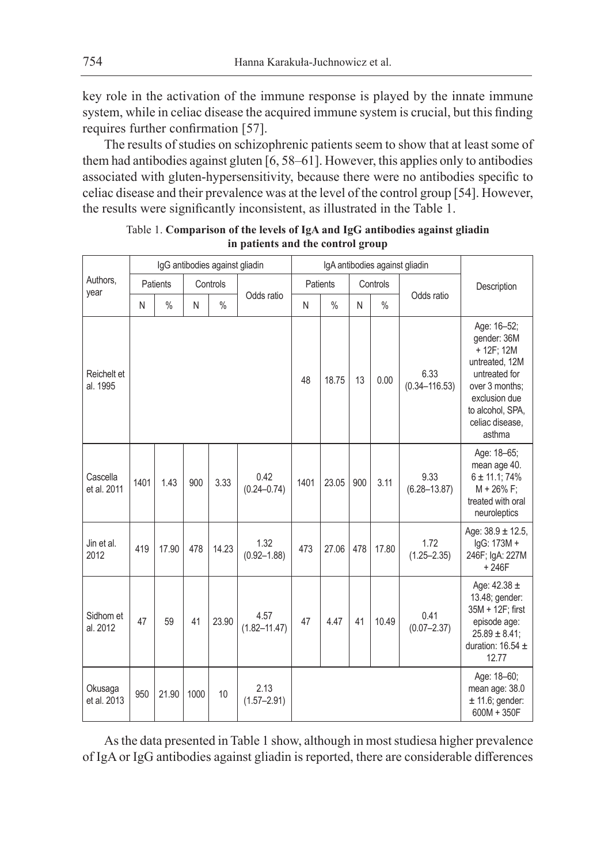key role in the activation of the immune response is played by the innate immune system, while in celiac disease the acquired immune system is crucial, but this finding requires further confirmation [57].

The results of studies on schizophrenic patients seem to show that at least some of them had antibodies against gluten [6, 58–61]. However, this applies only to antibodies associated with gluten-hypersensitivity, because there were no antibodies specific to celiac disease and their prevalence was at the level of the control group [54]. However, the results were significantly inconsistent, as illustrated in the Table 1.

|                         | IgG antibodies against gliadin |               |          |               |                          |          | IgA antibodies against gliadin |          |       |                           |                                                                                                                                                                 |
|-------------------------|--------------------------------|---------------|----------|---------------|--------------------------|----------|--------------------------------|----------|-------|---------------------------|-----------------------------------------------------------------------------------------------------------------------------------------------------------------|
| Authors.<br>year        | Patients                       |               | Controls |               |                          | Patients |                                | Controls |       |                           | Description                                                                                                                                                     |
|                         | N                              | $\frac{0}{0}$ | N        | $\frac{0}{0}$ | Odds ratio               | N        | $\frac{0}{0}$                  | N        | $\%$  | Odds ratio                |                                                                                                                                                                 |
| Reichelt et<br>al. 1995 |                                |               |          |               |                          | 48       | 18.75                          | 13       | 0.00  | 6.33<br>$(0.34 - 116.53)$ | Age: 16-52;<br>gender: 36M<br>+ 12F; 12M<br>untreated, 12M<br>untreated for<br>over 3 months:<br>exclusion due<br>to alcohol, SPA,<br>celiac disease,<br>asthma |
| Cascella<br>et al. 2011 | 1401                           | 1.43          | 900      | 3.33          | 0.42<br>$(0.24 - 0.74)$  | 1401     | 23.05                          | 900      | 3.11  | 9.33<br>$(6.28 - 13.87)$  | Age: 18-65;<br>mean age 40.<br>$6 \pm 11.1$ ; 74%<br>$M + 26\%$ F;<br>treated with oral<br>neuroleptics                                                         |
| Jin et al.<br>2012      | 419                            | 17.90         | 478      | 14.23         | 1.32<br>$(0.92 - 1.88)$  | 473      | 27.06                          | 478      | 17.80 | 1.72<br>$(1.25 - 2.35)$   | Age: $38.9 \pm 12.5$ ,<br>lgG: 173M +<br>246F; IgA: 227M<br>$+246F$                                                                                             |
| Sidhom et<br>al. 2012   | 47                             | 59            | 41       | 23.90         | 4.57<br>$(1.82 - 11.47)$ | 47       | 4.47                           | 41       | 10.49 | 0.41<br>$(0.07 - 2.37)$   | Age: $42.38 \pm$<br>13.48; gender:<br>35M + 12F; first<br>episode age:<br>$25.89 \pm 8.41$ ;<br>duration: $16.54 \pm$<br>12.77                                  |
| Okusaga<br>et al. 2013  | 950                            | 21.90         | 1000     | 10            | 2.13<br>$(1.57 - 2.91)$  |          |                                |          |       |                           | Age: 18-60;<br>mean age: 38.0<br>$± 11.6$ ; gender:<br>600M + 350F                                                                                              |

|  |                                   | Table 1. Comparison of the levels of IgA and IgG antibodies against gliadin |  |
|--|-----------------------------------|-----------------------------------------------------------------------------|--|
|  | in patients and the control group |                                                                             |  |

As the data presented in Table 1 show, although in most studiesa higher prevalence of IgA or IgG antibodies against gliadin is reported, there are considerable differences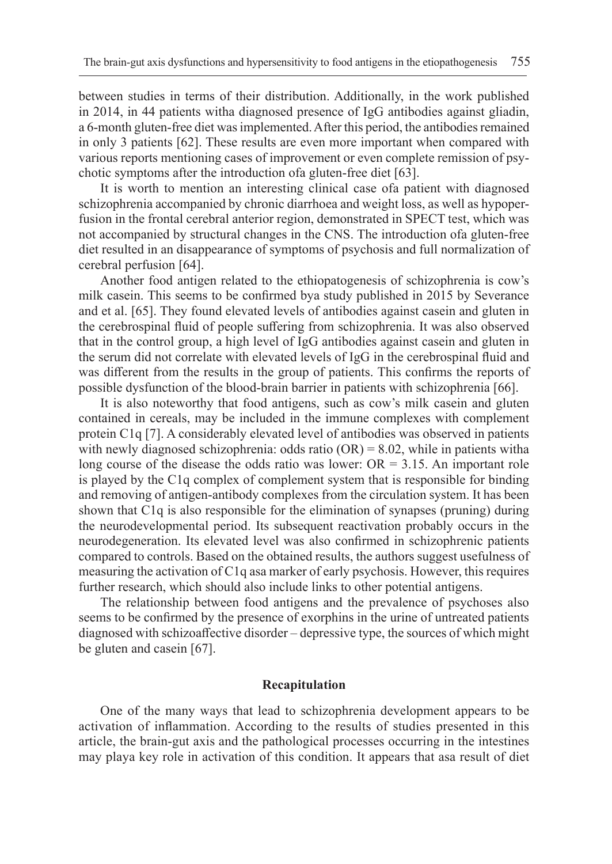between studies in terms of their distribution. Additionally, in the work published in 2014, in 44 patients witha diagnosed presence of IgG antibodies against gliadin, a 6-month gluten-free diet was implemented. After this period, the antibodies remained in only 3 patients [62]. These results are even more important when compared with various reports mentioning cases of improvement or even complete remission of psychotic symptoms after the introduction ofa gluten-free diet [63].

It is worth to mention an interesting clinical case ofa patient with diagnosed schizophrenia accompanied by chronic diarrhoea and weight loss, as well as hypoperfusion in the frontal cerebral anterior region, demonstrated in SPECT test, which was not accompanied by structural changes in the CNS. The introduction ofa gluten-free diet resulted in an disappearance of symptoms of psychosis and full normalization of cerebral perfusion [64].

Another food antigen related to the ethiopatogenesis of schizophrenia is cow's milk casein. This seems to be confirmed bya study published in 2015 by Severance and et al. [65]. They found elevated levels of antibodies against casein and gluten in the cerebrospinal fluid of people suffering from schizophrenia. It was also observed that in the control group, a high level of IgG antibodies against casein and gluten in the serum did not correlate with elevated levels of IgG in the cerebrospinal fluid and was different from the results in the group of patients. This confirms the reports of possible dysfunction of the blood-brain barrier in patients with schizophrenia [66].

It is also noteworthy that food antigens, such as cow's milk casein and gluten contained in cereals, may be included in the immune complexes with complement protein C1q [7]. A considerably elevated level of antibodies was observed in patients with newly diagnosed schizophrenia: odds ratio  $(OR) = 8.02$ , while in patients witha long course of the disease the odds ratio was lower:  $OR = 3.15$ . An important role is played by the C1q complex of complement system that is responsible for binding and removing of antigen-antibody complexes from the circulation system. It has been shown that C1q is also responsible for the elimination of synapses (pruning) during the neurodevelopmental period. Its subsequent reactivation probably occurs in the neurodegeneration. Its elevated level was also confirmed in schizophrenic patients compared to controls. Based on the obtained results, the authors suggest usefulness of measuring the activation of C1q asa marker of early psychosis. However, this requires further research, which should also include links to other potential antigens.

The relationship between food antigens and the prevalence of psychoses also seems to be confirmed by the presence of exorphins in the urine of untreated patients diagnosed with schizoaffective disorder – depressive type, the sources of which might be gluten and casein [67].

### **Recapitulation**

One of the many ways that lead to schizophrenia development appears to be activation of inflammation. According to the results of studies presented in this article, the brain-gut axis and the pathological processes occurring in the intestines may playa key role in activation of this condition. It appears that asa result of diet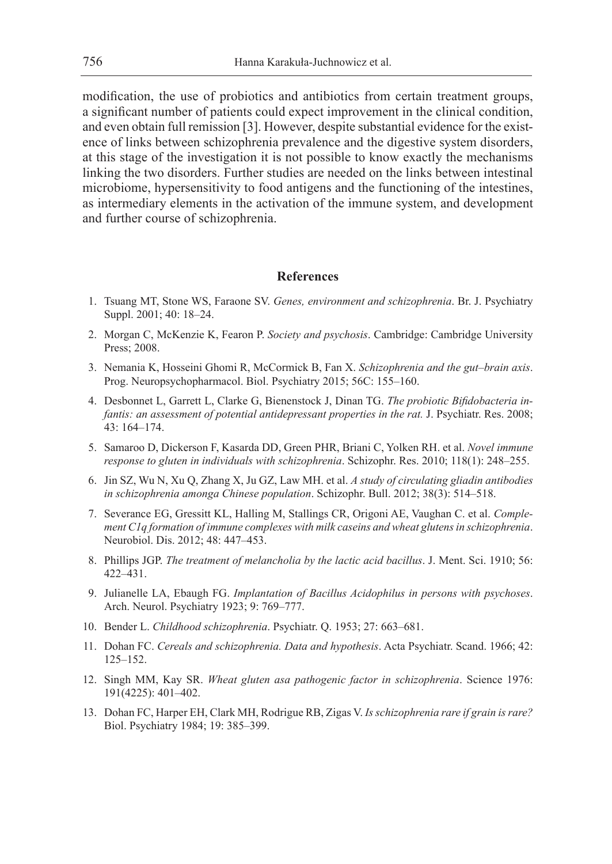modification, the use of probiotics and antibiotics from certain treatment groups, a significant number of patients could expect improvement in the clinical condition, and even obtain full remission [3]. However, despite substantial evidence for the existence of links between schizophrenia prevalence and the digestive system disorders, at this stage of the investigation it is not possible to know exactly the mechanisms linking the two disorders. Further studies are needed on the links between intestinal microbiome, hypersensitivity to food antigens and the functioning of the intestines, as intermediary elements in the activation of the immune system, and development and further course of schizophrenia.

#### **References**

- 1. Tsuang MT, Stone WS, Faraone SV. *Genes, environment and schizophrenia*. Br. J. Psychiatry Suppl. 2001; 40: 18–24.
- 2. Morgan C, McKenzie K, Fearon P. *Society and psychosis*. Cambridge: Cambridge University Press; 2008.
- 3. Nemania K, Hosseini Ghomi R, McCormick B, Fan X. *Schizophrenia and the gut–brain axis*. Prog. Neuropsychopharmacol. Biol. Psychiatry 2015; 56C: 155–160.
- 4. Desbonnet L, Garrett L, Clarke G, Bienenstock J, Dinan TG. *The probiotic Bifidobacteria infantis: an assessment of potential antidepressant properties in the rat. J. Psychiatr. Res. 2008;* 43: 164–174.
- 5. Samaroo D, Dickerson F, Kasarda DD, Green PHR, Briani C, Yolken RH. et al. *Novel immune response to gluten in individuals with schizophrenia*. Schizophr. Res. 2010; 118(1): 248–255.
- 6. Jin SZ, Wu N, Xu Q, Zhang X, Ju GZ, Law MH. et al. *A study of circulating gliadin antibodies in schizophrenia amonga Chinese population*. Schizophr. Bull. 2012; 38(3): 514–518.
- 7. Severance EG, Gressitt KL, Halling M, Stallings CR, Origoni AE, Vaughan C. et al. *Complement C1q formation of immune complexes with milk caseins and wheat glutens in schizophrenia*. Neurobiol. Dis. 2012; 48: 447–453.
- 8. Phillips JGP. *The treatment of melancholia by the lactic acid bacillus*. J. Ment. Sci. 1910; 56: 422–431.
- 9. Julianelle LA, Ebaugh FG. *Implantation of Bacillus Acidophilus in persons with psychoses*. Arch. Neurol. Psychiatry 1923; 9: 769–777.
- 10. Bender L. *Childhood schizophrenia*. Psychiatr. Q. 1953; 27: 663–681.
- 11. Dohan FC. *Cereals and schizophrenia. Data and hypothesis*. Acta Psychiatr. Scand. 1966; 42: 125–152.
- 12. Singh MM, Kay SR. *Wheat gluten asa pathogenic factor in schizophrenia*. Science 1976: 191(4225): 401–402.
- 13. Dohan FC, Harper EH, Clark MH, Rodrigue RB, Zigas V. *Is schizophrenia rare if grain is rare?*  Biol. Psychiatry 1984; 19: 385–399.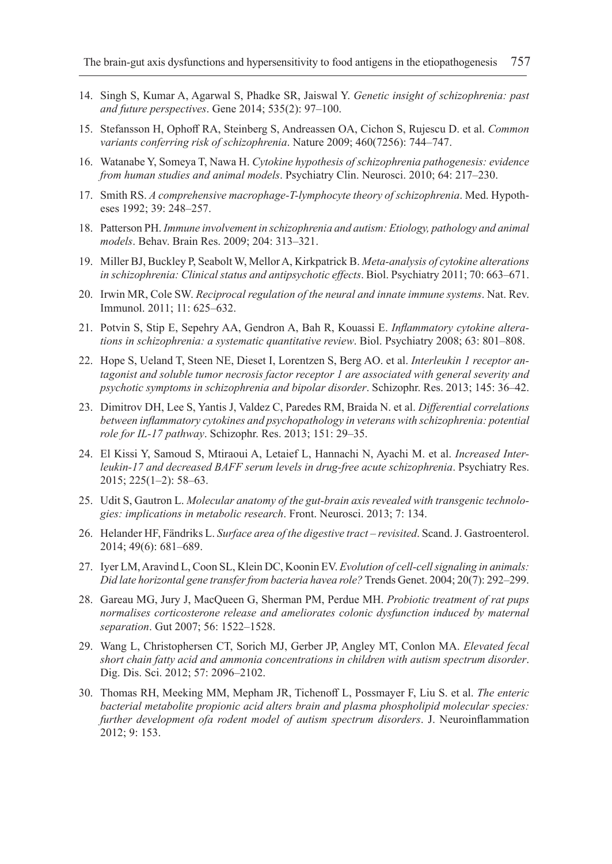- 14. Singh S, Kumar A, Agarwal S, Phadke SR, Jaiswal Y. *Genetic insight of schizophrenia: past and future perspectives*. Gene 2014; 535(2): 97–100.
- 15. Stefansson H, Ophoff RA, Steinberg S, Andreassen OA, Cichon S, Rujescu D. et al. *Common variants conferring risk of schizophrenia*. Nature 2009; 460(7256): 744–747.
- 16. Watanabe Y, Someya T, Nawa H. *Cytokine hypothesis of schizophrenia pathogenesis: evidence from human studies and animal models*. Psychiatry Clin. Neurosci. 2010; 64: 217–230.
- 17. Smith RS. *A comprehensive macrophage-T-lymphocyte theory of schizophrenia*. Med. Hypotheses 1992; 39: 248–257.
- 18. Patterson PH. *Immune involvement in schizophrenia and autism: Etiology, pathology and animal models*. Behav. Brain Res. 2009; 204: 313–321.
- 19. Miller BJ, Buckley P, Seabolt W, Mellor A, Kirkpatrick B. *Meta-analysis of cytokine alterations in schizophrenia: Clinical status and antipsychotic effects*. Biol. Psychiatry 2011; 70: 663–671.
- 20. Irwin MR, Cole SW. *Reciprocal regulation of the neural and innate immune systems*. Nat. Rev. Immunol. 2011; 11: 625–632.
- 21. Potvin S, Stip E, Sepehry AA, Gendron A, Bah R, Kouassi E. *Inflammatory cytokine alterations in schizophrenia: a systematic quantitative review*. Biol. Psychiatry 2008; 63: 801–808.
- 22. Hope S, Ueland T, Steen NE, Dieset I, Lorentzen S, Berg AO. et al. *Interleukin 1 receptor antagonist and soluble tumor necrosis factor receptor 1 are associated with general severity and psychotic symptoms in schizophrenia and bipolar disorder*. Schizophr. Res. 2013; 145: 36–42.
- 23. Dimitrov DH, Lee S, Yantis J, Valdez C, Paredes RM, Braida N. et al. *Differential correlations between inflammatory cytokines and psychopathology in veterans with schizophrenia: potential role for IL-17 pathway*. Schizophr. Res. 2013; 151: 29–35.
- 24. El Kissi Y, Samoud S, Mtiraoui A, Letaief L, Hannachi N, Ayachi M. et al. *Increased Inter*leukin-17 and decreased BAFF serum levels in drug-free acute schizophrenia. Psychiatry Res. 2015; 225(1–2): 58–63.
- 25. Udit S, Gautron L. *Molecular anatomy of the gut-brain axis revealed with transgenic technologies: implications in metabolic research*. Front. Neurosci. 2013; 7: 134.
- 26. Helander HF, Fändriks L. *Surface area of the digestive tract revisited*. Scand. J. Gastroenterol. 2014; 49(6): 681–689.
- 27. Iyer LM, Aravind L, Coon SL, Klein DC, Koonin EV. *Evolution of cell-cell signaling in animals: Did late horizontal gene transfer from bacteria havea role?* Trends Genet. 2004; 20(7): 292–299.
- 28. Gareau MG, Jury J, MacQueen G, Sherman PM, Perdue MH. *Probiotic treatment of rat pups normalises corticosterone release and ameliorates colonic dysfunction induced by maternal separation*. Gut 2007; 56: 1522–1528.
- 29. Wang L, Christophersen CT, Sorich MJ, Gerber JP, Angley MT, Conlon MA. *Elevated fecal short chain fatty acid and ammonia concentrations in children with autism spectrum disorder*. Dig. Dis. Sci. 2012; 57: 2096–2102.
- 30. Thomas RH, Meeking MM, Mepham JR, Tichenoff L, Possmayer F, Liu S. et al. *The enteric bacterial metabolite propionic acid alters brain and plasma phospholipid molecular species: further development ofa rodent model of autism spectrum disorders*. J. Neuroinflammation 2012; 9: 153.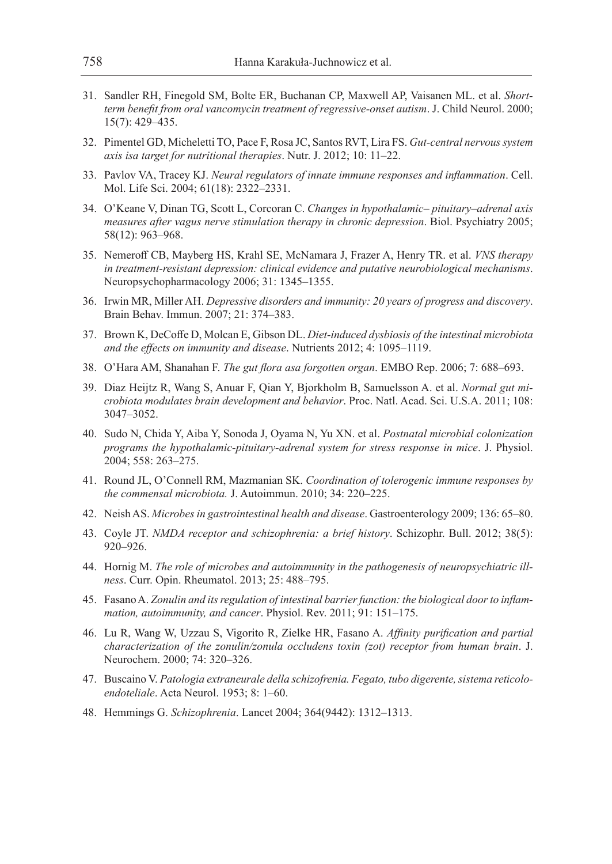- 31. Sandler RH, Finegold SM, Bolte ER, Buchanan CP, Maxwell AP, Vaisanen ML. et al. *Shortterm benefit from oral vancomycin treatment of regressive-onset autism*. J. Child Neurol. 2000; 15(7): 429–435.
- 32. Pimentel GD, Micheletti TO, Pace F, Rosa JC, Santos RVT, Lira FS. *Gut-central nervous system axis isa target for nutritional therapies*. Nutr. J. 2012; 10: 11–22.
- 33. Pavlov VA, Tracey KJ. *Neural regulators of innate immune responses and inflammation*. Cell. Mol. Life Sci. 2004; 61(18): 2322–2331.
- 34. O'Keane V, Dinan TG, Scott L, Corcoran C. *Changes in hypothalamic– pituitary–adrenal axis measures after vagus nerve stimulation therapy in chronic depression*. Biol. Psychiatry 2005; 58(12): 963–968.
- 35. Nemeroff CB, Mayberg HS, Krahl SE, McNamara J, Frazer A, Henry TR. et al. *VNS therapy in treatment-resistant depression: clinical evidence and putative neurobiological mechanisms*. Neuropsychopharmacology 2006; 31: 1345–1355.
- 36. Irwin MR, Miller AH. *Depressive disorders and immunity: 20 years of progress and discovery*. Brain Behav. Immun. 2007; 21: 374–383.
- 37. Brown K, DeCoffe D, Molcan E, Gibson DL. *Diet-induced dysbiosis of the intestinal microbiota and the effects on immunity and disease*. Nutrients 2012; 4: 1095–1119.
- 38. O'Hara AM, Shanahan F. *The gut flora asa forgotten organ*. EMBO Rep. 2006; 7: 688–693.
- 39. Diaz Heijtz R, Wang S, Anuar F, Qian Y, Bjorkholm B, Samuelsson A. et al. *Normal gut microbiota modulates brain development and behavior*. Proc. Natl. Acad. Sci. U.S.A. 2011; 108: 3047–3052.
- 40. Sudo N, Chida Y, Aiba Y, Sonoda J, Oyama N, Yu XN. et al. *Postnatal microbial colonization programs the hypothalamic-pituitary-adrenal system for stress response in mice*. J. Physiol. 2004; 558: 263–275.
- 41. Round JL, O'Connell RM, Mazmanian SK. *Coordination of tolerogenic immune responses by the commensal microbiota.* J. Autoimmun. 2010; 34: 220–225.
- 42. Neish AS. *Microbes in gastrointestinal health and disease*. Gastroenterology 2009; 136: 65–80.
- 43. Coyle JT. *NMDA receptor and schizophrenia: a brief history*. Schizophr. Bull. 2012; 38(5): 920–926.
- 44. Hornig M. *The role of microbes and autoimmunity in the pathogenesis of neuropsychiatric illness*. Curr. Opin. Rheumatol. 2013; 25: 488–795.
- 45. Fasano A. *Zonulin and its regulation of intestinal barrier function: the biological door to inflammation, autoimmunity, and cancer*. Physiol. Rev. 2011; 91: 151–175.
- 46. Lu R, Wang W, Uzzau S, Vigorito R, Zielke HR, Fasano A. *Affinity purification and partial characterization of the zonulin/zonula occludens toxin (zot) receptor from human brain*. J. Neurochem. 2000; 74: 320–326.
- 47. Buscaino V. *Patologia extraneurale della schizofrenia. Fegato, tubo digerente, sistema reticoloendoteliale*. Acta Neurol. 1953; 8: 1–60.
- 48. Hemmings G. *Schizophrenia*. Lancet 2004; 364(9442): 1312–1313.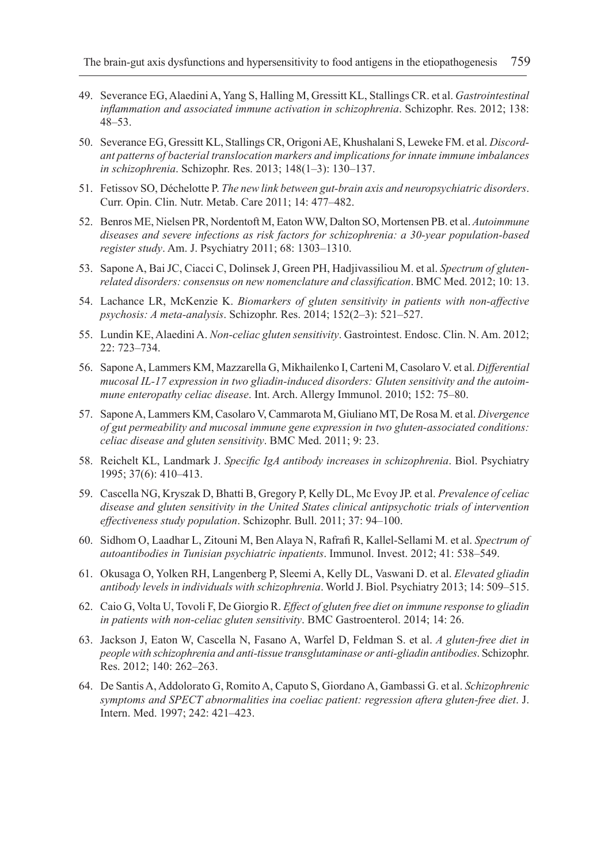- 49. Severance EG, Alaedini A, Yang S, Halling M, Gressitt KL, Stallings CR. et al. *Gastrointestinal inflammation and associated immune activation in schizophrenia*. Schizophr. Res. 2012; 138: 48–53.
- 50. Severance EG, Gressitt KL, Stallings CR, Origoni AE, Khushalani S, Leweke FM. et al. *Discordant patterns of bacterial translocation markers and implications for innate immune imbalances in schizophrenia*. Schizophr. Res. 2013; 148(1–3): 130–137.
- 51. Fetissov SO, Déchelotte P. *The new link between gut-brain axis and neuropsychiatric disorders*. Curr. Opin. Clin. Nutr. Metab. Care 2011; 14: 477–482.
- 52. Benros ME, Nielsen PR, Nordentoft M, Eaton WW, Dalton SO, Mortensen PB. et al. *Autoimmune diseases and severe infections as risk factors for schizophrenia: a 30-year population-based register study*. Am. J. Psychiatry 2011; 68: 1303–1310.
- 53. Sapone A, Bai JC, Ciacci C, Dolinsek J, Green PH, Hadjivassiliou M. et al. *Spectrum of glutenrelated disorders: consensus on new nomenclature and classification*. BMC Med. 2012; 10: 13.
- 54. Lachance LR, McKenzie K. *Biomarkers of gluten sensitivity in patients with non-affective psychosis: A meta-analysis*. Schizophr. Res. 2014; 152(2–3): 521–527.
- 55. Lundin KE, Alaedini A. *Non-celiac gluten sensitivity*. Gastrointest. Endosc. Clin. N. Am. 2012; 22: 723–734.
- 56. Sapone A, Lammers KM, Mazzarella G, Mikhailenko I, Carteni M, Casolaro V. et al. *Differential mucosal IL-17 expression in two gliadin-induced disorders: Gluten sensitivity and the autoimmune enteropathy celiac disease*. Int. Arch. Allergy Immunol. 2010; 152: 75–80.
- 57. Sapone A, Lammers KM, Casolaro V, Cammarota M, Giuliano MT, De Rosa M. et al. *Divergence of gut permeability and mucosal immune gene expression in two gluten-associated conditions: celiac disease and gluten sensitivity*. BMC Med. 2011; 9: 23.
- 58. Reichelt KL, Landmark J. *Specific IgA antibody increases in schizophrenia*. Biol. Psychiatry 1995; 37(6): 410–413.
- 59. Cascella NG, Kryszak D, Bhatti B, Gregory P, Kelly DL, Mc Evoy JP. et al. *Prevalence of celiac disease and gluten sensitivity in the United States clinical antipsychotic trials of intervention effectiveness study population*. Schizophr. Bull. 2011; 37: 94–100.
- 60. Sidhom O, Laadhar L, Zitouni M, Ben Alaya N, Rafrafi R, Kallel-Sellami M. et al. *Spectrum of autoantibodies in Tunisian psychiatric inpatients*. Immunol. Invest. 2012; 41: 538–549.
- 61. Okusaga O, Yolken RH, Langenberg P, Sleemi A, Kelly DL, Vaswani D. et al. *Elevated gliadin antibody levels in individuals with schizophrenia*. World J. Biol. Psychiatry 2013; 14: 509–515.
- 62. Caio G, Volta U, Tovoli F, De Giorgio R. *Effect of gluten free diet on immune response to gliadin in patients with non-celiac gluten sensitivity*. BMC Gastroenterol. 2014; 14: 26.
- 63. Jackson J, Eaton W, Cascella N, Fasano A, Warfel D, Feldman S. et al. *A gluten-free diet in people with schizophrenia and anti-tissue transglutaminase or anti-gliadin antibodies*. Schizophr. Res. 2012; 140: 262–263.
- 64. De Santis A, Addolorato G, Romito A, Caputo S, Giordano A, Gambassi G. et al. *Schizophrenic symptoms and SPECT abnormalities ina coeliac patient: regression aftera gluten-free diet*. J. Intern. Med. 1997; 242: 421–423.